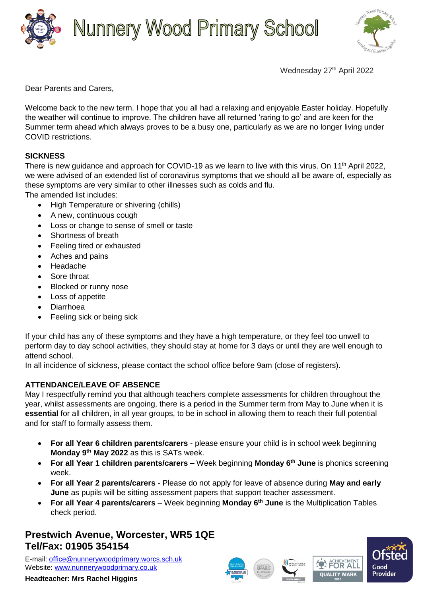

# **Nunnery Wood Primary School**



Wednesday 27<sup>th</sup> April 2022

Dear Parents and Carers,

Welcome back to the new term. I hope that you all had a relaxing and enjoyable Easter holiday. Hopefully the weather will continue to improve. The children have all returned 'raring to go' and are keen for the Summer term ahead which always proves to be a busy one, particularly as we are no longer living under COVID restrictions.

### **SICKNESS**

There is new guidance and approach for COVID-19 as we learn to live with this virus. On 11<sup>th</sup> April 2022, we were advised of an extended list of coronavirus symptoms that we should all be aware of, especially as these symptoms are very similar to other illnesses such as colds and flu.

The amended list includes:

- High Temperature or shivering (chills)
- A new, continuous cough
- Loss or change to sense of smell or taste
- Shortness of breath
- Feeling tired or exhausted
- Aches and pains
- Headache
- Sore throat
- Blocked or runny nose
- Loss of appetite
- Diarrhoea
- Feeling sick or being sick

If your child has any of these symptoms and they have a high temperature, or they feel too unwell to perform day to day school activities, they should stay at home for 3 days or until they are well enough to attend school.

In all incidence of sickness, please contact the school office before 9am (close of registers).

#### **ATTENDANCE/LEAVE OF ABSENCE**

May I respectfully remind you that although teachers complete assessments for children throughout the year, whilst assessments are ongoing, there is a period in the Summer term from May to June when it is **essential** for all children, in all year groups, to be in school in allowing them to reach their full potential and for staff to formally assess them.

- **For all Year 6 children parents/carers** please ensure your child is in school week beginning **Monday 9th May 2022** as this is SATs week.
- **For all Year 1 children parents/carers –** Week beginning **Monday 6th June** is phonics screening week.
- **For all Year 2 parents/carers** Please do not apply for leave of absence during **May and early June** as pupils will be sitting assessment papers that support teacher assessment.
- **For all Year 4 parents/carers** Week beginning **Monday 6th June** is the Multiplication Tables check period.

### **Prestwich Avenue, Worcester, WR5 1QE Tel/Fax: 01905 354154**

E-mail: [office@nunnerywoodprimary.worcs.sch.uk](mailto:office@nunnerywoodprimary.worcs.sch.uk) Website: [www.nunnerywoodprimary.co.uk](http://www.nunnerywoodprimary.worcs.sch.uk/)

**Headteacher: Mrs Rachel Higgins**